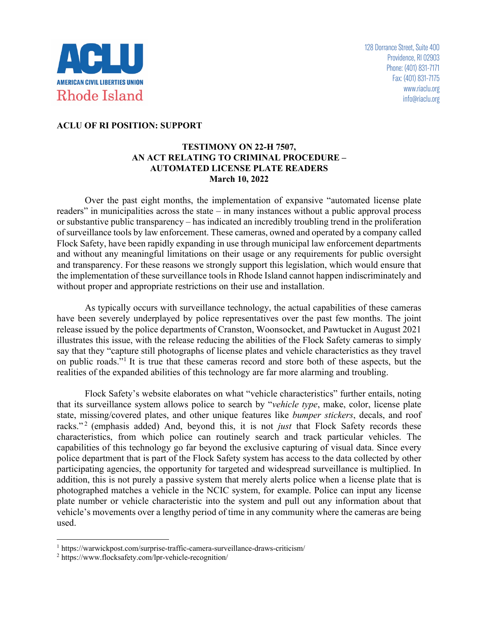

## **ACLU OF RI POSITION: SUPPORT**

## **TESTIMONY ON 22-H 7507, AN ACT RELATING TO CRIMINAL PROCEDURE – AUTOMATED LICENSE PLATE READERS March 10, 2022**

Over the past eight months, the implementation of expansive "automated license plate readers" in municipalities across the state – in many instances without a public approval process or substantive public transparency – has indicated an incredibly troubling trend in the proliferation of surveillance tools by law enforcement. These cameras, owned and operated by a company called Flock Safety, have been rapidly expanding in use through municipal law enforcement departments and without any meaningful limitations on their usage or any requirements for public oversight and transparency. For these reasons we strongly support this legislation, which would ensure that the implementation of these surveillance tools in Rhode Island cannot happen indiscriminately and without proper and appropriate restrictions on their use and installation.

As typically occurs with surveillance technology, the actual capabilities of these cameras have been severely underplayed by police representatives over the past few months. The joint release issued by the police departments of Cranston, Woonsocket, and Pawtucket in August 2021 illustrates this issue, with the release reducing the abilities of the Flock Safety cameras to simply say that they "capture still photographs of license plates and vehicle characteristics as they travel on public roads."1 It is true that these cameras record and store both of these aspects, but the realities of the expanded abilities of this technology are far more alarming and troubling.

Flock Safety's website elaborates on what "vehicle characteristics" further entails, noting that its surveillance system allows police to search by "*vehicle type*, make, color, license plate state, missing/covered plates, and other unique features like *bumper stickers*, decals, and roof racks."<sup>2</sup> (emphasis added) And, beyond this, it is not *just* that Flock Safety records these characteristics, from which police can routinely search and track particular vehicles. The capabilities of this technology go far beyond the exclusive capturing of visual data. Since every police department that is part of the Flock Safety system has access to the data collected by other participating agencies, the opportunity for targeted and widespread surveillance is multiplied. In addition, this is not purely a passive system that merely alerts police when a license plate that is photographed matches a vehicle in the NCIC system, for example. Police can input any license plate number or vehicle characteristic into the system and pull out any information about that vehicle's movements over a lengthy period of time in any community where the cameras are being used.

<sup>1</sup> https://warwickpost.com/surprise-traffic-camera-surveillance-draws-criticism/

<sup>2</sup> https://www.flocksafety.com/lpr-vehicle-recognition/